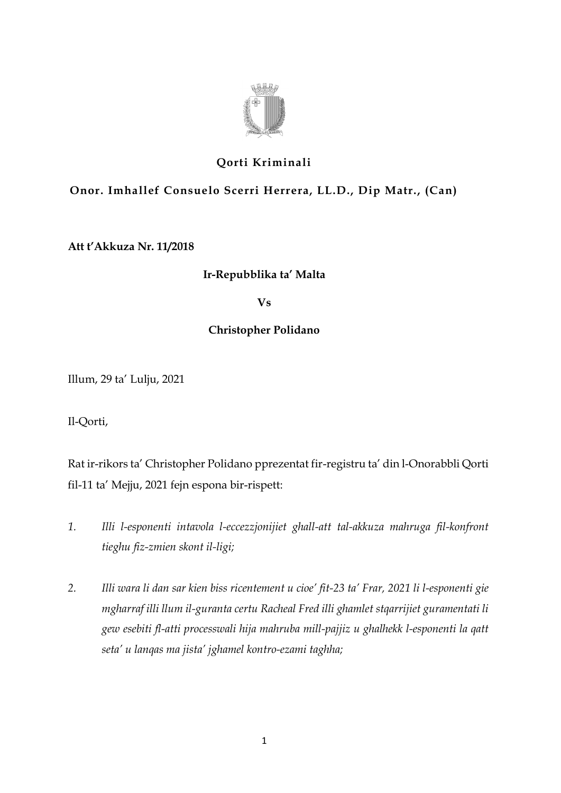

# **Qorti Kriminali**

# **Onor. Imhallef Consuelo Scerri Herrera, LL.D., Dip Matr., (Can)**

**Att t'Akkuza Nr. 11/2018**

## **Ir-Repubblika ta' Malta**

**Vs**

## **Christopher Polidano**

Illum, 29 ta' Lulju, 2021

Il-Qorti,

Rat ir-rikors ta' Christopher Polidano pprezentat fir-registru ta' din l-Onorabbli Qorti fil-11 ta' Mejju, 2021 fejn espona bir-rispett:

- *1. Illi l-esponenti intavola l-eccezzjonijiet ghall-att tal-akkuza mahruga fil-konfront tieghu fiz-zmien skont il-ligi;*
- *2. Illi wara li dan sar kien biss ricentement u cioe' fit-23 ta' Frar, 2021 li l-esponenti gie mgharraf illi llum il-guranta certu Racheal Fred illi ghamlet stqarrijiet guramentati li gew esebiti fl-atti processwali hija mahruba mill-pajjiz u ghalhekk l-esponenti la qatt seta' u lanqas ma jista' jghamel kontro-ezami taghha;*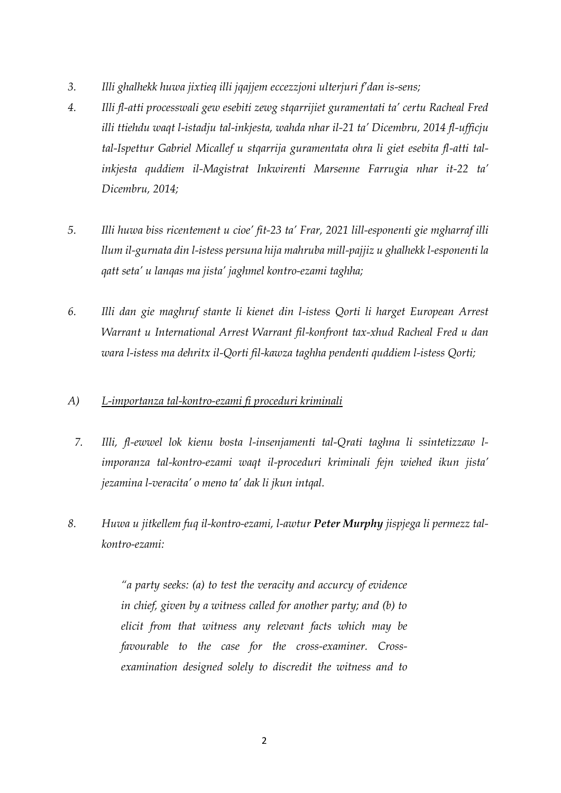- *3. Illi ghalhekk huwa jixtieq illi jqajjem eccezzjoni ulterjuri f'dan is-sens;*
- *4. Illi fl-atti processwali gew esebiti zewg stqarrijiet guramentati ta' certu Racheal Fred illi ttiehdu waqt l-istadju tal-inkjesta, wahda nhar il-21 ta' Dicembru, 2014 fl-ufficju tal-Ispettur Gabriel Micallef u stqarrija guramentata ohra li giet esebita fl-atti talinkjesta quddiem il-Magistrat Inkwirenti Marsenne Farrugia nhar it-22 ta' Dicembru, 2014;*
- *5. Illi huwa biss ricentement u cioe' fit-23 ta' Frar, 2021 lill-esponenti gie mgharraf illi llum il-gurnata din l-istess persuna hija mahruba mill-pajjiz u ghalhekk l-esponenti la qatt seta' u lanqas ma jista' jaghmel kontro-ezami taghha;*
- *6. Illi dan gie maghruf stante li kienet din l-istess Qorti li harget European Arrest Warrant u International Arrest Warrant fil-konfront tax-xhud Racheal Fred u dan wara l-istess ma dehritx il-Qorti fil-kawza taghha pendenti quddiem l-istess Qorti;*

## *A) L-importanza tal-kontro-ezami fi proceduri kriminali*

- *7. Illi, fl-ewwel lok kienu bosta l-insenjamenti tal-Qrati taghna li ssintetizzaw limporanza tal-kontro-ezami waqt il-proceduri kriminali fejn wiehed ikun jista' jezamina l-veracita' o meno ta' dak li jkun intqal.*
- *8. Huwa u jitkellem fuq il-kontro-ezami, l-awtur Peter Murphy jispjega li permezz talkontro-ezami:*

*"a party seeks: (a) to test the veracity and accurcy of evidence in chief, given by a witness called for another party; and (b) to elicit from that witness any relevant facts which may be favourable to the case for the cross-examiner. Crossexamination designed solely to discredit the witness and to*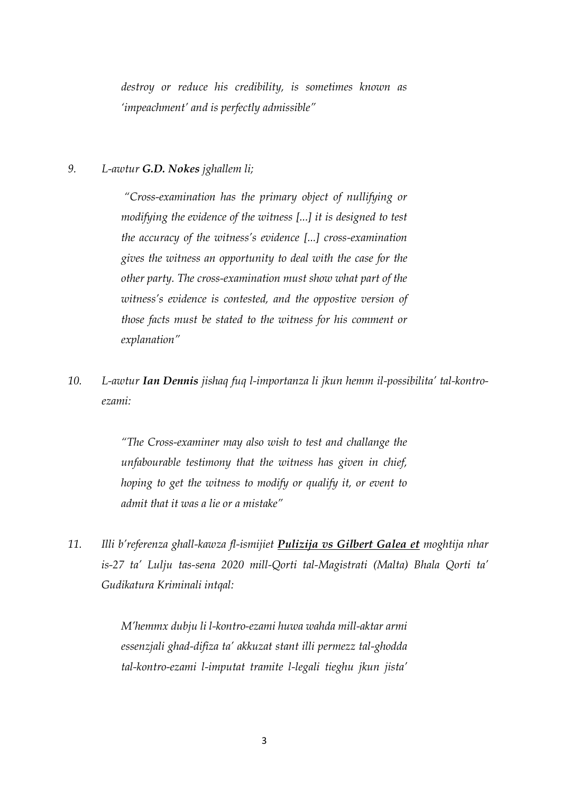*destroy or reduce his credibility, is sometimes known as 'impeachment' and is perfectly admissible"*

### *9. L-awtur G.D. Nokes jghallem li;*

*"Cross-examination has the primary object of nullifying or modifying the evidence of the witness [...] it is designed to test the accuracy of the witness's evidence [...] cross-examination gives the witness an opportunity to deal with the case for the other party. The cross-examination must show what part of the witness's evidence is contested, and the oppostive version of those facts must be stated to the witness for his comment or explanation"*

*10. L-awtur Ian Dennis jishaq fuq l-importanza li jkun hemm il-possibilita' tal-kontroezami:*

> *"The Cross-examiner may also wish to test and challange the unfabourable testimony that the witness has given in chief, hoping to get the witness to modify or qualify it, or event to admit that it was a lie or a mistake"*

*11. Illi b'referenza ghall-kawza fl-ismijiet Pulizija vs Gilbert Galea et moghtija nhar is-27 ta' Lulju tas-sena 2020 mill-Qorti tal-Magistrati (Malta) Bhala Qorti ta' Gudikatura Kriminali intqal:*

> *M'hemmx dubju li l-kontro-ezami huwa wahda mill-aktar armi essenzjali ghad-difiza ta' akkuzat stant illi permezz tal-ghodda tal-kontro-ezami l-imputat tramite l-legali tieghu jkun jista'*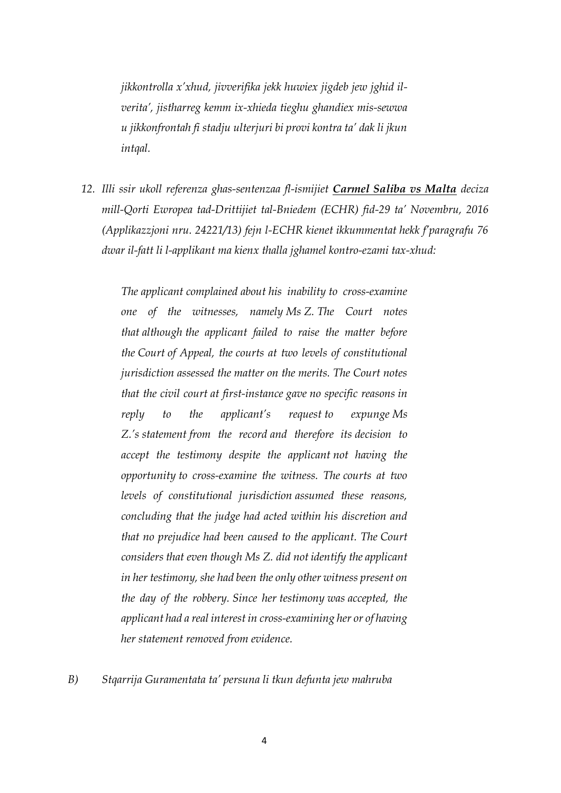*jikkontrolla x'xhud, jivverifika jekk huwiex jigdeb jew jghid ilverita', jistharreg kemm ix-xhieda tieghu ghandiex mis-sewwa u jikkonfrontah fi stadju ulterjuri bi provi kontra ta' dak li jkun intqal.*

*12. Illi ssir ukoll referenza ghas-sentenzaa fl-ismijiet Carmel Saliba vs Malta deciza mill-Qorti Ewropea tad-Drittijiet tal-Bniedem (ECHR) fid-29 ta' Novembru, 2016 (Applikazzjoni nru. 24221/13) fejn l-ECHR kienet ikkummentat hekk f'paragrafu 76 dwar il-fatt li l-applikant ma kienx thalla jghamel kontro-ezami tax-xhud:*

*The applicant complained about his inability to cross-examine one of the witnesses, namely Ms Z. The Court notes that although the applicant failed to raise the matter before the Court of Appeal, the courts at two levels of constitutional jurisdiction assessed the matter on the merits. The Court notes that the civil court at first-instance gave no specific reasons in reply to the applicant's request to expunge Ms Z.'s statement from the record and therefore its decision to accept the testimony despite the applicant not having the opportunity to cross-examine the witness. The courts at two levels of constitutional jurisdiction assumed these reasons, concluding that the judge had acted within his discretion and that no prejudice had been caused to the applicant. The Court considers that even though Ms Z. did not identify the applicant in her testimony, she had been the only other witness present on the day of the robbery. Since her testimony was accepted, the applicant had a real interest in cross-examining her or of having her statement removed from evidence.*

*B) Stqarrija Guramentata ta' persuna li tkun defunta jew mahruba*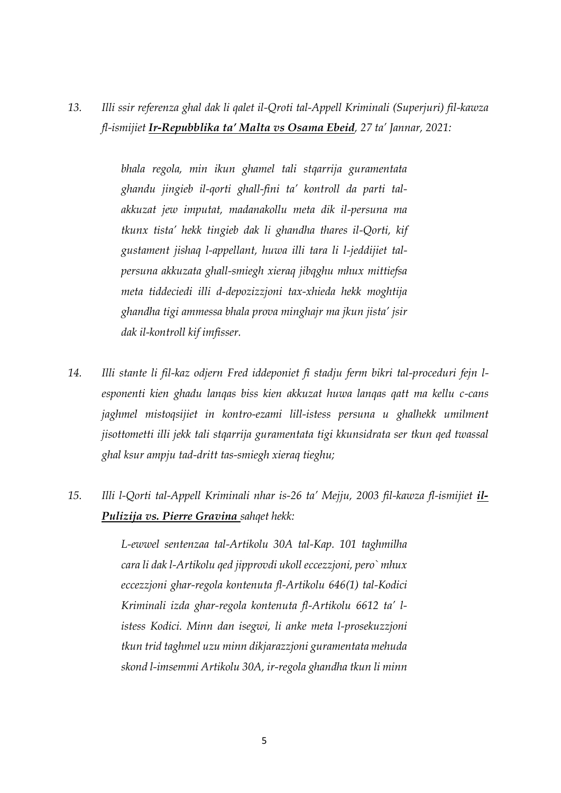*13. Illi ssir referenza ghal dak li qalet il-Qroti tal-Appell Kriminali (Superjuri) fil-kawza fl-ismijiet Ir-Repubblika ta' Malta vs Osama Ebeid, 27 ta' Jannar, 2021:*

> *bhala regola, min ikun ghamel tali stqarrija guramentata ghandu jingieb il-qorti ghall-fini ta' kontroll da parti talakkuzat jew imputat, madanakollu meta dik il-persuna ma tkunx tista' hekk tingieb dak li ghandha thares il-Qorti, kif gustament jishaq l-appellant, huwa illi tara li l-jeddijiet talpersuna akkuzata ghall-smiegh xieraq jibqghu mhux mittiefsa meta tiddeciedi illi d-depozizzjoni tax-xhieda hekk moghtija ghandha tigi ammessa bhala prova minghajr ma jkun jista' jsir dak il-kontroll kif imfisser.*

- *14. Illi stante li fil-kaz odjern Fred iddeponiet fi stadju ferm bikri tal-proceduri fejn lesponenti kien ghadu lanqas biss kien akkuzat huwa lanqas qatt ma kellu c-cans jaghmel mistoqsijiet in kontro-ezami lill-istess persuna u ghalhekk umilment jisottometti illi jekk tali stqarrija guramentata tigi kkunsidrata ser tkun qed twassal ghal ksur ampju tad-dritt tas-smiegh xieraq tieghu;*
- *15. Illi l-Qorti tal-Appell Kriminali nhar is-26 ta' Mejju, 2003 fil-kawza fl-ismijiet il-Pulizija vs. Pierre Gravina sahqet hekk:*

*L-ewwel sentenzaa tal-Artikolu 30A tal-Kap. 101 taghmilha cara li dak l-Artikolu qed jipprovdi ukoll eccezzjoni, pero` mhux eccezzjoni ghar-regola kontenuta fl-Artikolu 646(1) tal-Kodici Kriminali izda ghar-regola kontenuta fl-Artikolu 6612 ta' listess Kodici. Minn dan isegwi, li anke meta l-prosekuzzjoni tkun trid taghmel uzu minn dikjarazzjoni guramentata mehuda skond l-imsemmi Artikolu 30A, ir-regola ghandha tkun li minn*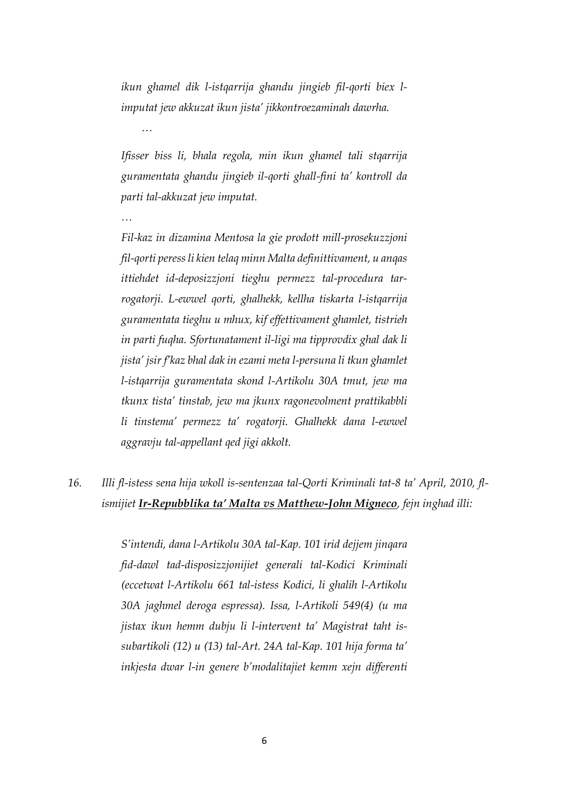*ikun ghamel dik l-istqarrija ghandu jingieb fil-qorti biex limputat jew akkuzat ikun jista' jikkontroezaminah dawrha.*

*…*

*…*

*Ifisser biss li, bhala regola, min ikun ghamel tali stqarrija guramentata ghandu jingieb il-qorti ghall-fini ta' kontroll da parti tal-akkuzat jew imputat.*

*Fil-kaz in dizamina Mentosa la gie prodott mill-prosekuzzjoni fil-qorti peress li kien telaq minn Malta definittivament, u anqas ittiehdet id-deposizzjoni tieghu permezz tal-procedura tarrogatorji. L-ewwel qorti, ghalhekk, kellha tiskarta l-istqarrija guramentata tieghu u mhux, kif effettivament ghamlet, tistrieh in parti fuqha. Sfortunatament il-ligi ma tipprovdix ghal dak li jista' jsir f'kaz bhal dak in ezami meta l-persuna li tkun ghamlet l-istqarrija guramentata skond l-Artikolu 30A tmut, jew ma tkunx tista' tinstab, jew ma jkunx ragonevolment prattikabbli li tinstema' permezz ta' rogatorji. Ghalhekk dana l-ewwel aggravju tal-appellant qed jigi akkolt.*

# *16. Illi fl-istess sena hija wkoll is-sentenzaa tal-Qorti Kriminali tat-8 ta' April, 2010, flismijiet Ir-Repubblika ta' Malta vs Matthew-John Migneco, fejn inghad illi:*

*S'intendi, dana l-Artikolu 30A tal-Kap. 101 irid dejjem jinqara fid-dawl tad-disposizzjonijiet generali tal-Kodici Kriminali (eccetwat l-Artikolu 661 tal-istess Kodici, li ghalih l-Artikolu 30A jaghmel deroga espressa). Issa, l-Artikoli 549(4) (u ma jistax ikun hemm dubju li l-intervent ta' Magistrat taht issubartikoli (12) u (13) tal-Art. 24A tal-Kap. 101 hija forma ta' inkjesta dwar l-in genere b'modalitajiet kemm xejn differenti*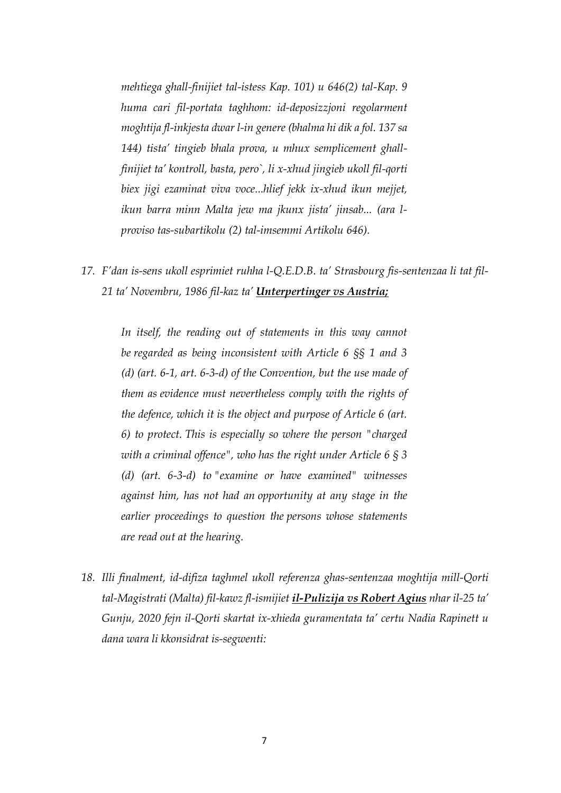*mehtiega ghall-finijiet tal-istess Kap. 101) u 646(2) tal-Kap. 9 huma cari fil-portata taghhom: id-deposizzjoni regolarment moghtija fl-inkjesta dwar l-in genere (bhalma hi dik a fol. 137 sa 144) tista' tingieb bhala prova, u mhux semplicement ghallfinijiet ta' kontroll, basta, pero`, li x-xhud jingieb ukoll fil-qorti biex jigi ezaminat viva voce...hlief jekk ix-xhud ikun mejjet, ikun barra minn Malta jew ma jkunx jista' jinsab... (ara lproviso tas-subartikolu (2) tal-imsemmi Artikolu 646).* 

*17. F'dan is-sens ukoll esprimiet ruhha l-Q.E.D.B. ta' Strasbourg fis-sentenzaa li tat fil-21 ta' Novembru, 1986 fil-kaz ta' Unterpertinger vs Austria;*

In itself, the reading out of statements in this way cannot *be regarded as being inconsistent with Article 6 §§ 1 and 3 (d) (art. 6-1, art. 6-3-d) of the Convention, but the use made of them as evidence must nevertheless comply with the rights of the defence, which it is the object and purpose of Article 6 (art. 6) to protect. This is especially so where the person "charged with a criminal offence", who has the right under Article 6 § 3 (d) (art. 6-3-d) to "examine or have examined" witnesses against him, has not had an opportunity at any stage in the earlier proceedings to question the persons whose statements are read out at the hearing.*

*18. Illi finalment, id-difiza taghmel ukoll referenza ghas-sentenzaa moghtija mill-Qorti tal-Magistrati (Malta) fil-kawz fl-ismijiet il-Pulizija vs Robert Agius nhar il-25 ta' Gunju, 2020 fejn il-Qorti skartat ix-xhieda guramentata ta' certu Nadia Rapinett u dana wara li kkonsidrat is-segwenti:*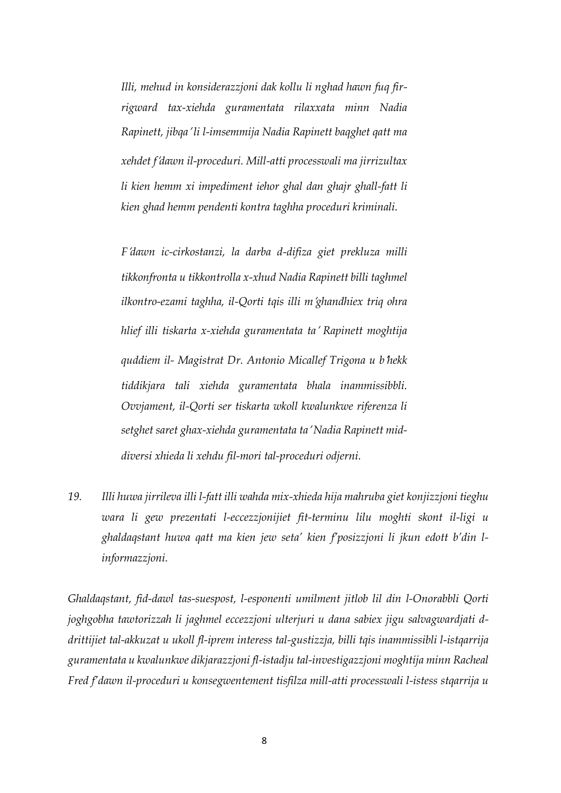*Illi, mehud in konsiderazzjoni dak kollu li nghad hawn fuq firrigward tax-xiehda guramentata rilaxxata minn Nadia Rapinett, jibqa*' *li l-imsemmija Nadia Rapinett baqghet qatt ma xehdet f*'*dawn il-proceduri. Mill-atti processwali ma jirrizultax li kien hemm xi impediment iehor ghal dan ghajr ghall-fatt li kien ghad hemm pendenti kontra taghha proceduri kriminali.*

*F*'*dawn ic-cirkostanzi, la darba d-difiza giet prekluza milli tikkonfronta u tikkontrolla x-xhud Nadia Rapinett billi taghmel ilkontro-ezami taghha, il-Qorti tqis illi m*'*ghandhiex triq ohra hlief illi tiskarta x-xiehda guramentata ta*' *Rapinett moghtija quddiem il- Magistrat Dr. Antonio Micallef Trigona u b*'*hekk tiddikjara tali xiehda guramentata bhala inammissibbli. Ovvjament, il-Qorti ser tiskarta wkoll kwalunkwe riferenza li setghet saret ghax-xiehda guramentata ta*' *Nadia Rapinett middiversi xhieda li xehdu fil-mori tal-proceduri odjerni.*

*19. Illi huwa jirrileva illi l-fatt illi wahda mix-xhieda hija mahruba giet konjizzjoni tieghu wara li gew prezentati l-eccezzjonijiet fit-terminu lilu moghti skont il-ligi u ghaldaqstant huwa qatt ma kien jew seta' kien f'posizzjoni li jkun edott b'din linformazzjoni.*

*Ghaldaqstant, fid-dawl tas-suespost, l-esponenti umilment jitlob lil din l-Onorabbli Qorti joghgobha tawtorizzah li jaghmel eccezzjoni ulterjuri u dana sabiex jigu salvagwardjati ddrittijiet tal-akkuzat u ukoll fl-iprem interess tal-gustizzja, billi tqis inammissibli l-istqarrija guramentata u kwalunkwe dikjarazzjoni fl-istadju tal-investigazzjoni moghtija minn Racheal Fred f'dawn il-proceduri u konsegwentement tisfilza mill-atti processwali l-istess stqarrija u*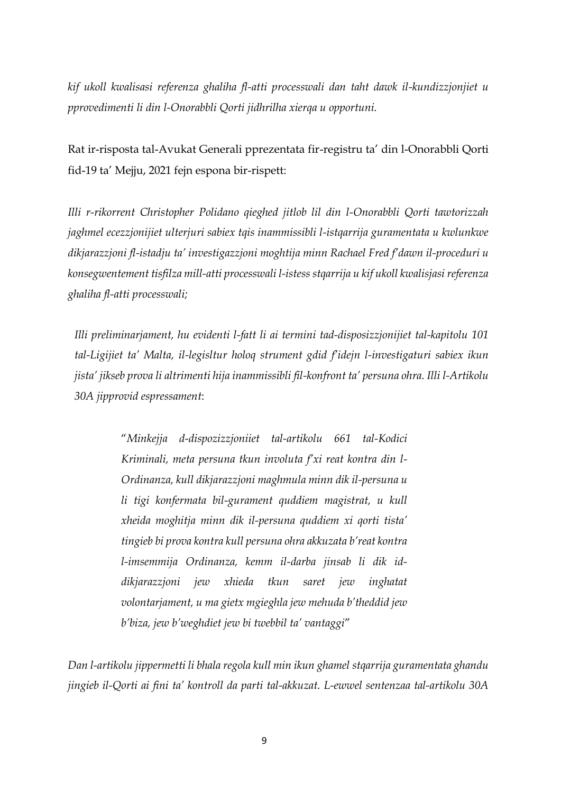*kif ukoll kwalisasi referenza ghaliha fl-atti processwali dan taht dawk il-kundizzjonjiet u pprovedimenti li din l-Onorabbli Qorti jidhrilha xierqa u opportuni.*

Rat ir-risposta tal-Avukat Generali pprezentata fir-registru ta' din l-Onorabbli Qorti fid-19 ta' Mejju, 2021 fejn espona bir-rispett:

*Illi r-rikorrent Christopher Polidano qieghed jitlob lil din l-Onorabbli Qorti tawtorizzah jaghmel ecezzjonijiet ulterjuri sabiex tqis inammissibli l-istqarrija guramentata u kwlunkwe dikjarazzjoni fl-istadju ta' investigazzjoni moghtija minn Rachael Fred f'dawn il-proceduri u konsegwentement tisfilza mill-atti processwali l-istess stqarrija u kif ukoll kwalisjasi referenza ghaliha fl-atti processwali;*

*Illi preliminarjament, hu evidenti l-fatt li ai termini tad-disposizzjonijiet tal-kapitolu 101 tal-Ligijiet ta' Malta, il-legisltur holoq strument gdid f'idejn l-investigaturi sabiex ikun jista' jikseb prova li altrimenti hija inammissibli fil-konfront ta' persuna ohra. Illi l-Artikolu 30A jipprovid espressament*:

> "*Minkejja d-dispozizzjoniiet tal-artikolu 661 tal-Kodici Kriminali, meta persuna tkun involuta f'xi reat kontra din l-Ordinanza, kull dikjarazzjoni maghmula minn dik il-persuna u li tigi konfermata bil-gurament quddiem magistrat, u kull xheida moghitja minn dik il-persuna quddiem xi qorti tista' tingieb bi prova kontra kull persuna ohra akkuzata b'reat kontra l-imsemmija Ordinanza, kemm il-darba jinsab li dik iddikjarazzjoni jew xhieda tkun saret jew inghatat volontarjament, u ma gietx mgieghla jew mehuda b'theddid jew b'biza, jew b'weghdiet jew bi twebbil ta' vantaggi*"

*Dan l-artikolu jippermetti li bhala regola kull min ikun ghamel stqarrija guramentata ghandu jingieb il-Qorti ai fini ta' kontroll da parti tal-akkuzat. L-ewwel sentenzaa tal-artikolu 30A*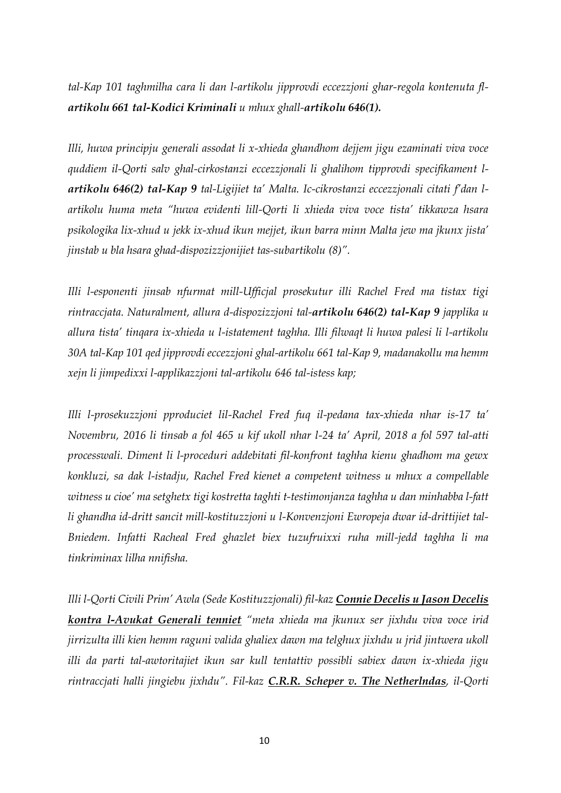*tal-Kap 101 taghmilha cara li dan l-artikolu jipprovdi eccezzjoni ghar-regola kontenuta flartikolu 661 tal-Kodici Kriminali u mhux ghall-artikolu 646(1).*

*Illi, huwa principju generali assodat li x-xhieda ghandhom dejjem jigu ezaminati viva voce quddiem il-Qorti salv ghal-cirkostanzi eccezzjonali li ghalihom tipprovdi specifikament lartikolu 646(2) tal-Kap 9 tal-Ligijiet ta' Malta. Ic-cikrostanzi eccezzjonali citati f'dan lartikolu huma meta "huwa evidenti lill-Qorti li xhieda viva voce tista' tikkawza hsara psikologika lix-xhud u jekk ix-xhud ikun mejjet, ikun barra minn Malta jew ma jkunx jista' jinstab u bla hsara ghad-dispozizzjonijiet tas-subartikolu (8)".* 

*Illi l-esponenti jinsab nfurmat mill-Ufficjal prosekutur illi Rachel Fred ma tistax tigi rintraccjata. Naturalment, allura d-dispozizzjoni tal-artikolu 646(2) tal-Kap 9 japplika u allura tista' tinqara ix-xhieda u l-istatement taghha. Illi filwaqt li huwa palesi li l-artikolu 30A tal-Kap 101 qed jipprovdi eccezzjoni ghal-artikolu 661 tal-Kap 9, madanakollu ma hemm xejn li jimpedixxi l-applikazzjoni tal-artikolu 646 tal-istess kap;*

*Illi l-prosekuzzjoni pproduciet lil-Rachel Fred fuq il-pedana tax-xhieda nhar is-17 ta' Novembru, 2016 li tinsab a fol 465 u kif ukoll nhar l-24 ta' April, 2018 a fol 597 tal-atti processwali. Diment li l-proceduri addebitati fil-konfront taghha kienu ghadhom ma gewx konkluzi, sa dak l-istadju, Rachel Fred kienet a competent witness u mhux a compellable witness u cioe' ma setghetx tigi kostretta taghti t-testimonjanza taghha u dan minhabba l-fatt li ghandha id-dritt sancit mill-kostituzzjoni u l-Konvenzjoni Ewropeja dwar id-drittijiet tal-Bniedem. Infatti Racheal Fred ghazlet biex tuzufruixxi ruha mill-jedd taghha li ma tinkriminax lilha nnifisha.*

*Illi l-Qorti Civili Prim' Awla (Sede Kostituzzjonali) fil-kaz Connie Decelis u Jason Decelis kontra l-Avukat Generali tenniet "meta xhieda ma jkunux ser jixhdu viva voce irid jirrizulta illi kien hemm raguni valida ghaliex dawn ma telghux jixhdu u jrid jintwera ukoll illi da parti tal-awtoritajiet ikun sar kull tentattiv possibli sabiex dawn ix-xhieda jigu rintraccjati halli jingiebu jixhdu". Fil-kaz C.R.R. Scheper v. The Netherlndas, il-Qorti*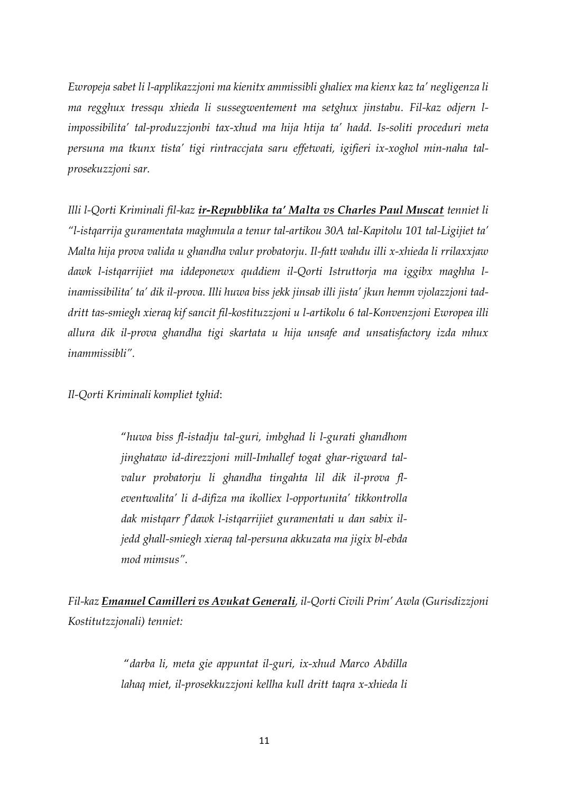*Ewropeja sabet li l-applikazzjoni ma kienitx ammissibli ghaliex ma kienx kaz ta' negligenza li ma regghux tressqu xhieda li sussegwentement ma setghux jinstabu. Fil-kaz odjern limpossibilita' tal-produzzjonbi tax-xhud ma hija htija ta' hadd. Is-soliti proceduri meta persuna ma tkunx tista' tigi rintraccjata saru effetwati, igifieri ix-xoghol min-naha talprosekuzzjoni sar.*

*Illi l-Qorti Kriminali fil-kaz ir-Repubblika ta' Malta vs Charles Paul Muscat tenniet li "l-istqarrija guramentata maghmula a tenur tal-artikou 30A tal-Kapitolu 101 tal-Ligijiet ta' Malta hija prova valida u ghandha valur probatorju. Il-fatt wahdu illi x-xhieda li rrilaxxjaw dawk l-istqarrijiet ma iddeponewx quddiem il-Qorti Istruttorja ma iggibx maghha linamissibilita' ta' dik il-prova. Illi huwa biss jekk jinsab illi jista' jkun hemm vjolazzjoni taddritt tas-smiegh xieraq kif sancit fil-kostituzzjoni u l-artikolu 6 tal-Konvenzjoni Ewropea illi allura dik il-prova ghandha tigi skartata u hija unsafe and unsatisfactory izda mhux inammissibli".*

*Il-Qorti Kriminali kompliet tghid*:

"*huwa biss fl-istadju tal-guri, imbghad li l-gurati ghandhom jinghataw id-direzzjoni mill-Imhallef togat ghar-rigward talvalur probatorju li ghandha tingahta lil dik il-prova fleventwalita' li d-difiza ma ikolliex l-opportunita' tikkontrolla dak mistqarr f'dawk l-istqarrijiet guramentati u dan sabix iljedd ghall-smiegh xieraq tal-persuna akkuzata ma jigix bl-ebda mod mimsus".*

*Fil-kaz Emanuel Camilleri vs Avukat Generali, il-Qorti Civili Prim' Awla (Gurisdizzjoni Kostitutzzjonali) tenniet:*

> "*darba li, meta gie appuntat il-guri, ix-xhud Marco Abdilla lahaq miet, il-prosekkuzzjoni kellha kull dritt taqra x-xhieda li*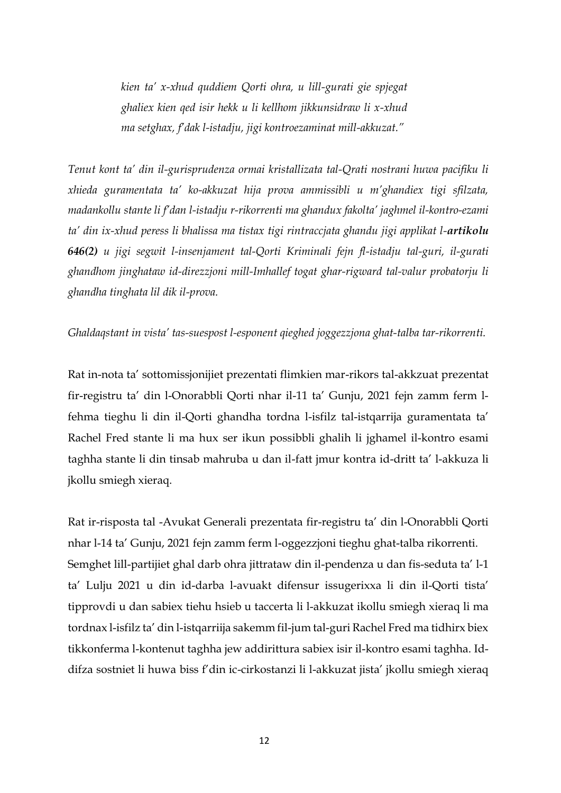*kien ta' x-xhud quddiem Qorti ohra, u lill-gurati gie spjegat ghaliex kien qed isir hekk u li kellhom jikkunsidraw li x-xhud ma setghax, f'dak l-istadju, jigi kontroezaminat mill-akkuzat."*

*Tenut kont ta' din il-gurisprudenza ormai kristallizata tal-Qrati nostrani huwa pacifiku li xhieda guramentata ta' ko-akkuzat hija prova ammissibli u m'ghandiex tigi sfilzata, madankollu stante li f'dan l-istadju r-rikorrenti ma ghandux fakolta' jaghmel il-kontro-ezami ta' din ix-xhud peress li bhalissa ma tistax tigi rintraccjata ghandu jigi applikat l-artikolu 646(2) u jigi segwit l-insenjament tal-Qorti Kriminali fejn fl-istadju tal-guri, il-gurati ghandhom jinghataw id-direzzjoni mill-Imhallef togat ghar-rigward tal-valur probatorju li ghandha tinghata lil dik il-prova.*

#### *Ghaldaqstant in vista' tas-suespost l-esponent qieghed joggezzjona ghat-talba tar-rikorrenti.*

Rat in-nota ta' sottomissjonijiet prezentati flimkien mar-rikors tal-akkzuat prezentat fir-registru ta' din l-Onorabbli Qorti nhar il-11 ta' Gunju, 2021 fejn zamm ferm lfehma tieghu li din il-Qorti ghandha tordna l-isfilz tal-istqarrija guramentata ta' Rachel Fred stante li ma hux ser ikun possibbli ghalih li jghamel il-kontro esami taghha stante li din tinsab mahruba u dan il-fatt jmur kontra id-dritt ta' l-akkuza li jkollu smiegh xieraq.

Rat ir-risposta tal -Avukat Generali prezentata fir-registru ta' din l-Onorabbli Qorti nhar l-14 ta' Gunju, 2021 fejn zamm ferm l-oggezzjoni tieghu ghat-talba rikorrenti. Semghet lill-partijiet ghal darb ohra jittrataw din il-pendenza u dan fis-seduta ta' l-1 ta' Lulju 2021 u din id-darba l-avuakt difensur issugerixxa li din il-Qorti tista' tipprovdi u dan sabiex tiehu hsieb u taccerta li l-akkuzat ikollu smiegh xieraq li ma tordnax l-isfilz ta' din l-istqarriija sakemm fil-jum tal-guri Rachel Fred ma tidhirx biex tikkonferma l-kontenut taghha jew addirittura sabiex isir il-kontro esami taghha. Iddifza sostniet li huwa biss f'din ic-cirkostanzi li l-akkuzat jista' jkollu smiegh xieraq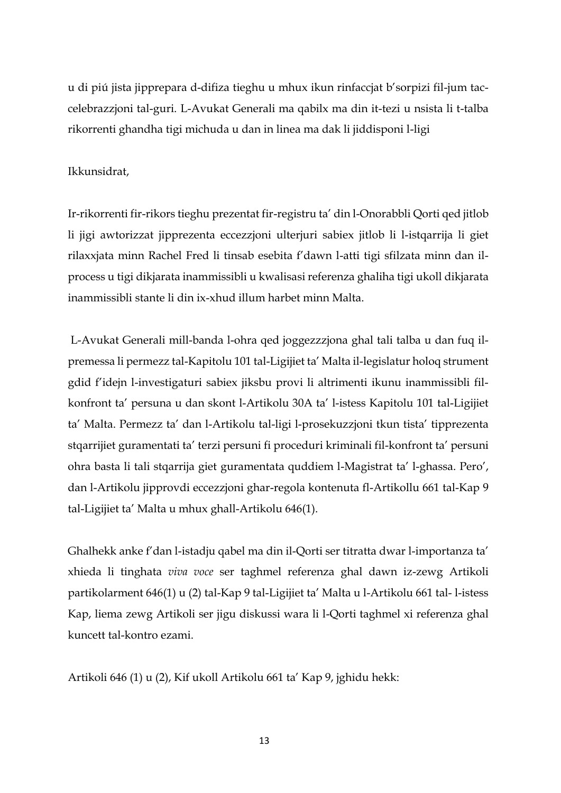u di piú jista jipprepara d-difiza tieghu u mhux ikun rinfaccjat b'sorpizi fil-jum taccelebrazzjoni tal-guri. L-Avukat Generali ma qabilx ma din it-tezi u nsista li t-talba rikorrenti ghandha tigi michuda u dan in linea ma dak li jiddisponi l-ligi

## Ikkunsidrat,

Ir-rikorrenti fir-rikors tieghu prezentat fir-registru ta' din l-Onorabbli Qorti qed jitlob li jigi awtorizzat jipprezenta eccezzjoni ulterjuri sabiex jitlob li l-istqarrija li giet rilaxxjata minn Rachel Fred li tinsab esebita f'dawn l-atti tigi sfilzata minn dan ilprocess u tigi dikjarata inammissibli u kwalisasi referenza ghaliha tigi ukoll dikjarata inammissibli stante li din ix-xhud illum harbet minn Malta.

L-Avukat Generali mill-banda l-ohra qed joggezzzjona ghal tali talba u dan fuq ilpremessa li permezz tal-Kapitolu 101 tal-Ligijiet ta' Malta il-legislatur holoq strument gdid f'idejn l-investigaturi sabiex jiksbu provi li altrimenti ikunu inammissibli filkonfront ta' persuna u dan skont l-Artikolu 30A ta' l-istess Kapitolu 101 tal-Ligijiet ta' Malta. Permezz ta' dan l-Artikolu tal-ligi l-prosekuzzjoni tkun tista' tipprezenta stqarrijiet guramentati ta' terzi persuni fi proceduri kriminali fil-konfront ta' persuni ohra basta li tali stqarrija giet guramentata quddiem l-Magistrat ta' l-ghassa. Pero', dan l-Artikolu jipprovdi eccezzjoni ghar-regola kontenuta fl-Artikollu 661 tal-Kap 9 tal-Ligijiet ta' Malta u mhux ghall-Artikolu 646(1).

Ghalhekk anke f'dan l-istadju qabel ma din il-Qorti ser titratta dwar l-importanza ta' xhieda li tinghata *viva voce* ser taghmel referenza ghal dawn iz-zewg Artikoli partikolarment 646(1) u (2) tal-Kap 9 tal-Ligijiet ta' Malta u l-Artikolu 661 tal- l-istess Kap, liema zewg Artikoli ser jigu diskussi wara li l-Qorti taghmel xi referenza ghal kuncett tal-kontro ezami.

Artikoli 646 (1) u (2), Kif ukoll Artikolu 661 ta' Kap 9, jghidu hekk: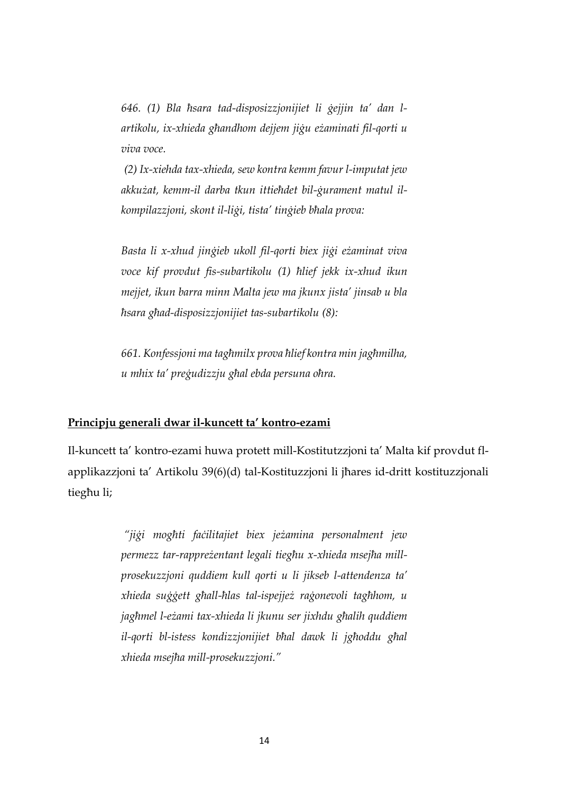*646. (1) Bla ħsara tad-disposizzjonijiet li ġejjin ta' dan lartikolu, ix-xhieda għandhom dejjem jiġu eżaminati fil-qorti u viva voce.*

*(2) Ix-xiehda tax-xhieda, sew kontra kemm favur l-imputat jew akkużat, kemm-il darba tkun ittieħdet bil-ġurament matul ilkompilazzjoni, skont il-liġi, tista' tinġieb bħala prova:*

*Basta li x-xhud jinġieb ukoll fil-qorti biex jiġi eżaminat viva voce kif provdut fis-subartikolu (1) ħlief jekk ix-xhud ikun mejjet, ikun barra minn Malta jew ma jkunx jista' jinsab u bla ħsara għad-disposizzjonijiet tas-subartikolu (8):*

*661. Konfessjoni ma tagħmilx prova ħlief kontra min jagħmilha, u mhix ta' preġudizzju għal ebda persuna oħra.*

#### **Principju generali dwar il-kuncett ta' kontro-ezami**

Il-kuncett ta' kontro-ezami huwa protett mill-Kostitutzzjoni ta' Malta kif provdut flapplikazzjoni ta' Artikolu 39(6)(d) tal-Kostituzzjoni li jħares id-dritt kostituzzjonali tiegħu li;

> *"jiġi mogħti faċilitajiet biex jeżamina personalment jew permezz tar-rappreżentant legali tiegħu x-xhieda msejħa millprosekuzzjoni quddiem kull qorti u li jikseb l-attendenza ta' xhieda suġġett għall-ħlas tal-ispejjeż raġonevoli tagħhom, u jagħmel l-eżami tax-xhieda li jkunu ser jixhdu għalih quddiem il-qorti bl-istess kondizzjonijiet bħal dawk li jgħoddu għal xhieda msejħa mill-prosekuzzjoni."*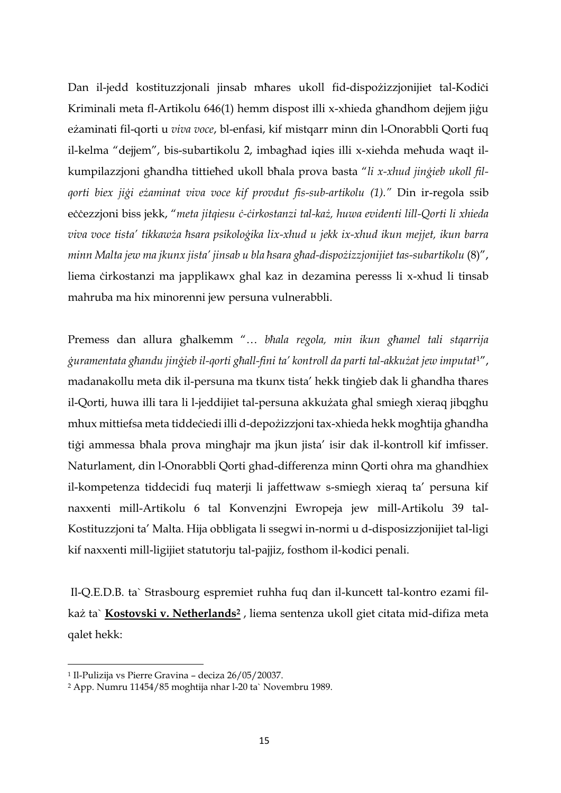Dan il-jedd kostituzzjonali jinsab mħares ukoll fid-dispożizzjonijiet tal-Kodići Kriminali meta fl-Artikolu 646(1) hemm dispost illi x-xhieda għandhom dejjem jiġu eżaminati fil-qorti u *viva voce*, bl-enfasi, kif mistqarr minn din l-Onorabbli Qorti fuq il-kelma "dejjem", bis-subartikolu 2, imbagħad iqies illi x-xiehda meħuda waqt ilkumpilazzjoni għandha tittieħed ukoll bħala prova basta "*li x-xhud jinġieb ukoll filqorti biex jiġi eżaminat viva voce kif provdut fis-sub-artikolu (1)."* Din ir-regola ssib eċċezzjoni biss jekk, "*meta jitqiesu ċ-ċirkostanzi tal-każ, huwa evidenti lill-Qorti li xhieda viva voce tista' tikkawża ħsara psikoloġika lix-xhud u jekk ix-xhud ikun mejjet, ikun barra minn Malta jew ma jkunx jista' jinsab u bla ħsara għad-dispożizzjonijiet tas-subartikolu* (8)", liema cirkostanzi ma japplikawx ghal kaz in dezamina peresss li x-xhud li tinsab mahruba ma hix minorenni jew persuna vulnerabbli.

Premess dan allura għalkemm "… *bħala regola, min ikun għamel tali stqarrija ġuramentata għandu jinġieb il-qorti għall-fini ta' kontroll da parti tal-akkużat jew imputat*1", madanakollu meta dik il-persuna ma tkunx tista' hekk tinġieb dak li għandha tħares il-Qorti, huwa illi tara li l-jeddijiet tal-persuna akkużata għal smiegħ xieraq jibqgħu mhux mittiefsa meta tiddeċiedi illi d-depożizzjoni tax-xhieda hekk mogħtija għandha tiġi ammessa bħala prova mingħajr ma jkun jista' isir dak il-kontroll kif imfisser. Naturlament, din l-Onorabbli Qorti ghad-differenza minn Qorti ohra ma ghandhiex il-kompetenza tiddecidi fuq materji li jaffettwaw s-smiegh xieraq ta' persuna kif naxxenti mill-Artikolu 6 tal Konvenzjni Ewropeja jew mill-Artikolu 39 tal-Kostituzzjoni ta' Malta. Hija obbligata li ssegwi in-normi u d-disposizzjonijiet tal-ligi kif naxxenti mill-ligijiet statutorju tal-pajjiz, fosthom il-kodici penali.

Il-Q.E.D.B. ta` Strasbourg espremiet ruhha fuq dan il-kuncett tal-kontro ezami filkaż ta` **Kostovski v. Netherlands<sup>2</sup>** , liema sentenza ukoll giet citata mid-difiza meta qalet hekk:

 $\overline{a}$ 

<sup>1</sup> Il-Pulizija vs Pierre Gravina – deciza 26/05/20037.

<sup>2</sup> App. Numru 11454/85 moghtija nhar l-20 ta` Novembru 1989.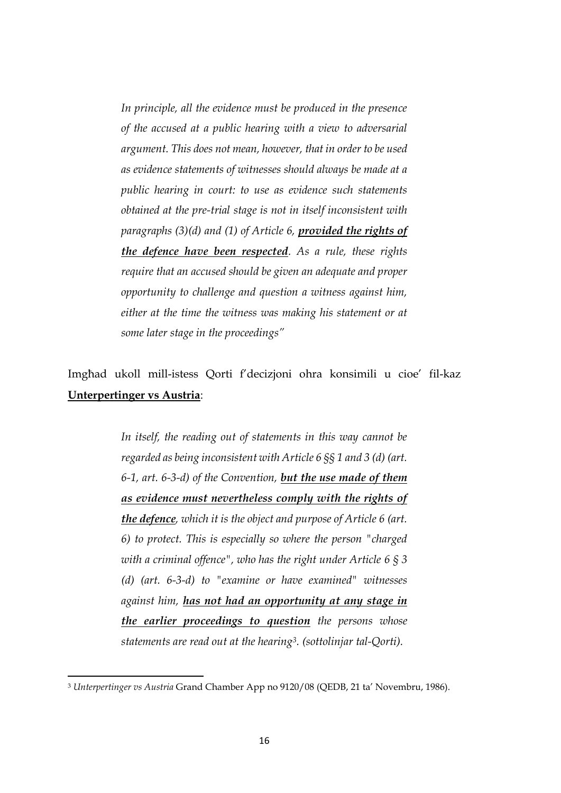*In principle, all the evidence must be produced in the presence of the accused at a public hearing with a view to adversarial argument. This does not mean, however, that in order to be used as evidence statements of witnesses should always be made at a public hearing in court: to use as evidence such statements obtained at the pre-trial stage is not in itself inconsistent with paragraphs (3)(d) and (1) of Article 6, provided the rights of the defence have been respected. As a rule, these rights require that an accused should be given an adequate and proper opportunity to challenge and question a witness against him, either at the time the witness was making his statement or at some later stage in the proceedings"* 

# Imgħad ukoll mill-istess Qorti f'decizjoni ohra konsimili u cioe' fil-kaz **Unterpertinger vs Austria**:

*In itself, the reading out of statements in this way cannot be regarded as being inconsistent with Article 6 §§ 1 and 3 (d) (art. 6-1, art. 6-3-d) of the Convention, but the use made of them as evidence must nevertheless comply with the rights of the defence, which it is the object and purpose of Article 6 (art. 6) to protect. This is especially so where the person "charged with a criminal offence", who has the right under Article 6 § 3 (d) (art. 6-3-d) to "examine or have examined" witnesses against him, has not had an opportunity at any stage in the earlier proceedings to question the persons whose statements are read out at the hearing3. (sottolinjar tal-Qorti).*

<sup>3</sup> *Unterpertinger vs Austria* Grand Chamber App no 9120/08 (QEDB, 21 ta' Novembru, 1986).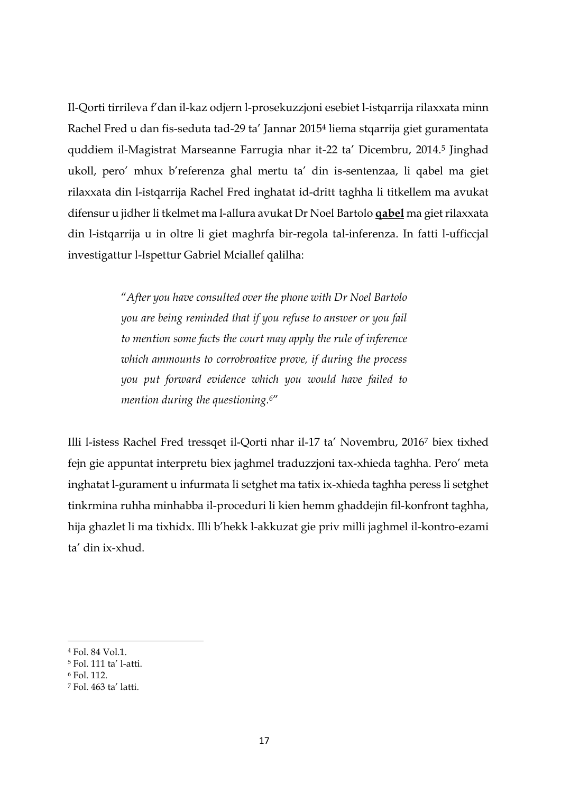Il-Qorti tirrileva f'dan il-kaz odjern l-prosekuzzjoni esebiet l-istqarrija rilaxxata minn Rachel Fred u dan fis-seduta tad-29 ta' Jannar 2015<sup>4</sup> liema stqarrija giet guramentata quddiem il-Magistrat Marseanne Farrugia nhar it-22 ta' Dicembru, 2014. <sup>5</sup> Jinghad ukoll, pero' mhux b'referenza ghal mertu ta' din is-sentenzaa, li qabel ma giet rilaxxata din l-istqarrija Rachel Fred inghatat id-dritt taghha li titkellem ma avukat difensur u jidher li tkelmet ma l-allura avukat Dr Noel Bartolo **qabel** ma giet rilaxxata din l-istqarrija u in oltre li giet maghrfa bir-regola tal-inferenza. In fatti l-ufficcjal investigattur l-Ispettur Gabriel Mciallef qalilha:

> "*After you have consulted over the phone with Dr Noel Bartolo you are being reminded that if you refuse to answer or you fail to mention some facts the court may apply the rule of inference which ammounts to corrobroative prove, if during the process you put forward evidence which you would have failed to mention during the questioning.6*"

Illi l-istess Rachel Fred tressqet il-Qorti nhar il-17 ta' Novembru, 2016<sup>7</sup> biex tixhed fejn gie appuntat interpretu biex jaghmel traduzzjoni tax-xhieda taghha. Pero' meta inghatat l-gurament u infurmata li setghet ma tatix ix-xhieda taghha peress li setghet tinkrmina ruhha minhabba il-proceduri li kien hemm ghaddejin fil-konfront taghha, hija ghazlet li ma tixhidx. Illi b'hekk l-akkuzat gie priv milli jaghmel il-kontro-ezami ta' din ix-xhud.

1

<sup>4</sup> Fol. 84 Vol.1.

<sup>5</sup> Fol. 111 ta' l-atti.

<sup>6</sup> Fol. 112.

<sup>7</sup> Fol. 463 ta' latti.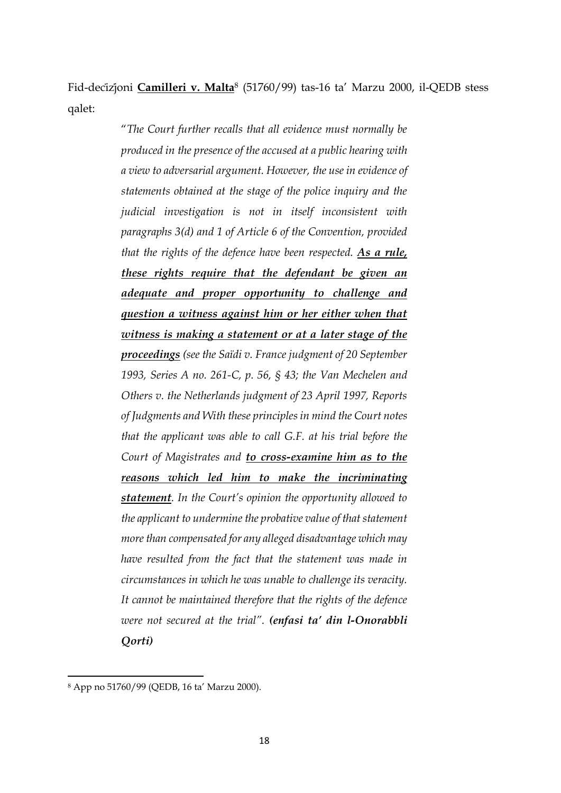Fid-deċiżjoni **Camilleri v. Malta**<sup>8</sup> (51760/99) tas-16 ta' Marzu 2000, il-QEDB stess qalet:

> "*The Court further recalls that all evidence must normally be produced in the presence of the accused at a public hearing with a view to adversarial argument. However, the use in evidence of statements obtained at the stage of the police inquiry and the judicial investigation is not in itself inconsistent with paragraphs 3(d) and 1 of Article 6 of the Convention, provided that the rights of the defence have been respected. As a rule, these rights require that the defendant be given an adequate and proper opportunity to challenge and question a witness against him or her either when that witness is making a statement or at a later stage of the proceedings (see the Saïdi v. France judgment of 20 September 1993, Series A no. 261-C, p. 56, § 43; the Van Mechelen and Others v. the Netherlands judgment of 23 April 1997, Reports of Judgments and With these principles in mind the Court notes that the applicant was able to call G.F. at his trial before the Court of Magistrates and to cross-examine him as to the reasons which led him to make the incriminating statement. In the Court's opinion the opportunity allowed to the applicant to undermine the probative value of that statement more than compensated for any alleged disadvantage which may have resulted from the fact that the statement was made in circumstances in which he was unable to challenge its veracity. It cannot be maintained therefore that the rights of the defence were not secured at the trial". (enfasi ta' din l-Onorabbli Qorti)*

<sup>8</sup> App no 51760/99 (QEDB, 16 ta' Marzu 2000).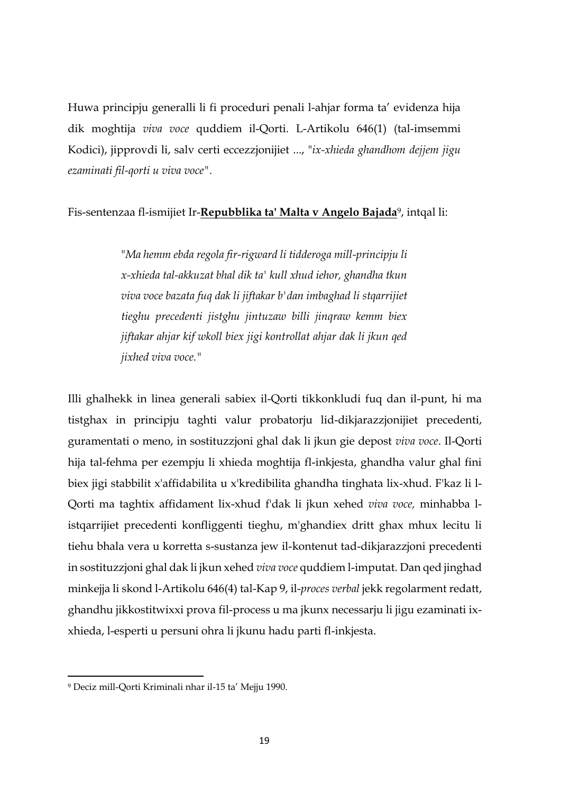Huwa principju generalli li fi proceduri penali l-ahjar forma ta' evidenza hija dik moghtija *viva voce* quddiem il-Qorti. L-Artikolu 646(1) (tal-imsemmi Kodici), jipprovdi li, salv certi eccezzjonijiet ..., "*ix-xhieda ghandhom dejjem jigu ezaminati fil-qorti u viva voce".*

## Fis-sentenzaa fl-ismijiet Ir-**Repubblika ta' Malta v Angelo Bajada**9, intqal li:

"*Ma hemm ebda regola fir-rigward li tidderoga mill-principju li x-xhieda tal-akkuzat bhal dik ta' kull xhud iehor, ghandha tkun viva voce bazata fuq dak li jiftakar b'dan imbaghad li stqarrijiet tieghu precedenti jistghu jintuzaw billi jinqraw kemm biex jiftakar ahjar kif wkoll biex jigi kontrollat ahjar dak li jkun qed jixhed viva voce."*

Illi ghalhekk in linea generali sabiex il-Qorti tikkonkludi fuq dan il-punt, hi ma tistghax in principju taghti valur probatorju lid-dikjarazzjonijiet precedenti, guramentati o meno, in sostituzzjoni ghal dak li jkun gie depost *viva voce*. Il-Qorti hija tal-fehma per ezempju li xhieda moghtija fl-inkjesta, ghandha valur ghal fini biex jigi stabbilit x'affidabilita u x'kredibilita ghandha tinghata lix-xhud. F'kaz li l-Qorti ma taghtix affidament lix-xhud f'dak li jkun xehed *viva voce,* minhabba listqarrijiet precedenti konfliggenti tieghu, m'ghandiex dritt ghax mhux lecitu li tiehu bhala vera u korretta s-sustanza jew il-kontenut tad-dikjarazzjoni precedenti in sostituzzjoni ghal dak li jkun xehed *viva voce* quddiem l-imputat. Dan qed jinghad minkejja li skond l-Artikolu 646(4) tal-Kap 9, il-*proces verbal* jekk regolarment redatt, ghandhu jikkostitwixxi prova fil-process u ma jkunx necessarju li jigu ezaminati ixxhieda, l-esperti u persuni ohra li jkunu hadu parti fl-inkjesta.

<sup>9</sup> Deciz mill-Qorti Kriminali nhar il-15 ta' Mejju 1990.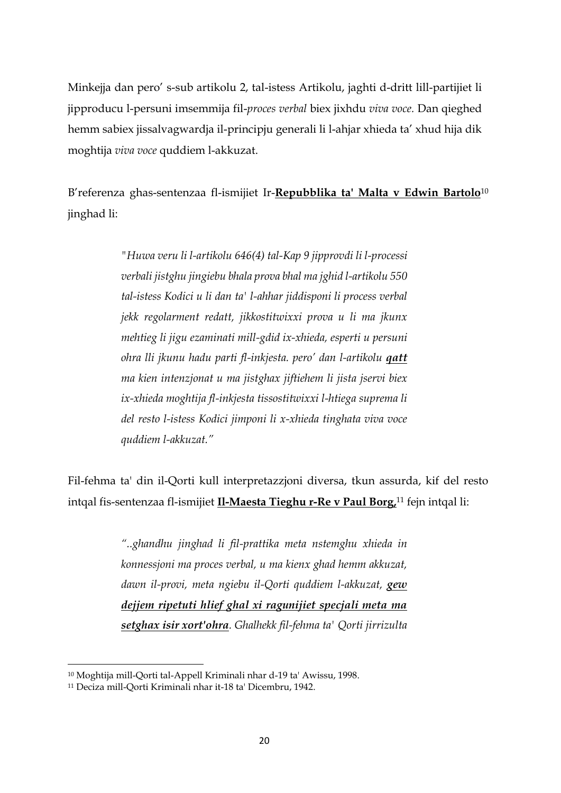Minkejja dan pero' s-sub artikolu 2, tal-istess Artikolu, jaghti d-dritt lill-partijiet li jipproducu l-persuni imsemmija fil-*proces verbal* biex jixhdu *viva voce.* Dan qieghed hemm sabiex jissalvagwardja il-principju generali li l-ahjar xhieda ta' xhud hija dik moghtija *viva voce* quddiem l-akkuzat.

B'referenza ghas-sentenzaa fl-ismijiet Ir-**Repubblika ta' Malta v Edwin Bartolo**<sup>10</sup> jinghad li:

> *"Huwa veru li l-artikolu 646(4) tal-Kap 9 jipprovdi li l-processi verbali jistghu jingiebu bhala prova bhal ma jghid l-artikolu 550 tal-istess Kodici u li dan ta' l-ahhar jiddisponi li process verbal jekk regolarment redatt, jikkostitwixxi prova u li ma jkunx mehtieg li jigu ezaminati mill-gdid ix-xhieda, esperti u persuni ohra lli jkunu hadu parti fl-inkjesta. pero' dan l-artikolu qatt ma kien intenzjonat u ma jistghax jiftiehem li jista jservi biex ix-xhieda moghtija fl-inkjesta tissostitwixxi l-htiega suprema li del resto l-istess Kodici jimponi li x-xhieda tinghata viva voce quddiem l-akkuzat."*

Fil-fehma ta' din il-Qorti kull interpretazzjoni diversa, tkun assurda, kif del resto intqal fis-sentenzaa fl-ismijiet **Il-Maesta Tieghu r-Re v Paul Borg,**<sup>11</sup> fejn intqal li:

> *"..ghandhu jinghad li fil-prattika meta nstemghu xhieda in konnessjoni ma proces verbal, u ma kienx ghad hemm akkuzat, dawn il-provi, meta ngiebu il-Qorti quddiem l-akkuzat, gew dejjem ripetuti hlief ghal xi ragunijiet specjali meta ma setghax isir xort'ohra. Ghalhekk fil-fehma ta' Qorti jirrizulta*

 $\overline{a}$ 

<sup>10</sup> Moghtija mill-Qorti tal-Appell Kriminali nhar d-19 ta' Awissu, 1998.

<sup>11</sup> Deciza mill-Qorti Kriminali nhar it-18 ta' Dicembru, 1942.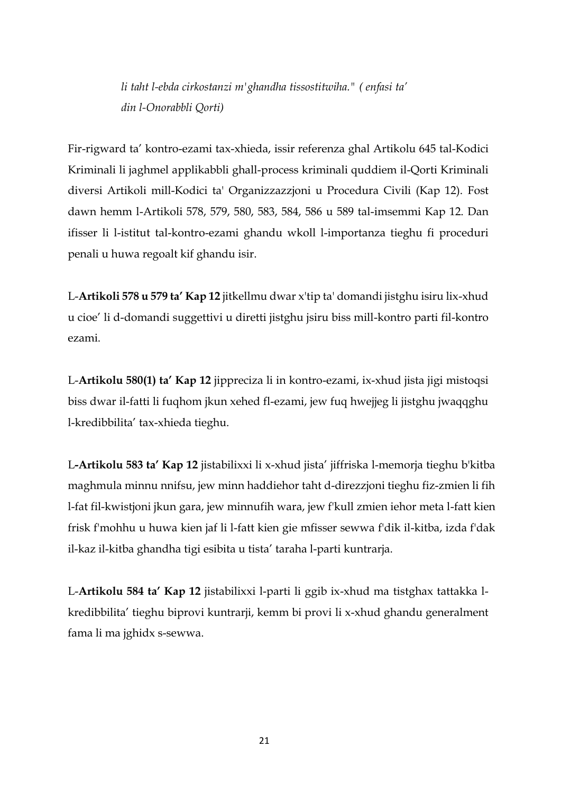*li taht l-ebda cirkostanzi m'ghandha tissostitwiha." ( enfasi ta' din l-Onorabbli Qorti)* 

Fir-rigward ta' kontro-ezami tax-xhieda, issir referenza ghal Artikolu 645 tal-Kodici Kriminali li jaghmel applikabbli ghall-process kriminali quddiem il-Qorti Kriminali diversi Artikoli mill-Kodici ta' Organizzazzjoni u Procedura Civili (Kap 12). Fost dawn hemm l-Artikoli 578, 579, 580, 583, 584, 586 u 589 tal-imsemmi Kap 12. Dan ifisser li l-istitut tal-kontro-ezami ghandu wkoll l-importanza tieghu fi proceduri penali u huwa regoalt kif ghandu isir.

L-**Artikoli 578 u 579 ta' Kap 12** jitkellmu dwar x'tip ta' domandi jistghu isiru lix-xhud u cioe' li d-domandi suggettivi u diretti jistghu jsiru biss mill-kontro parti fil-kontro ezami.

L-**Artikolu 580(1) ta' Kap 12** jippreciza li in kontro-ezami, ix-xhud jista jigi mistoqsi biss dwar il-fatti li fuqhom jkun xehed fl-ezami, jew fuq hwejjeg li jistghu jwaqqghu l-kredibbilita' tax-xhieda tieghu.

L**-Artikolu 583 ta' Kap 12** jistabilixxi li x-xhud jista' jiffriska l-memorja tieghu b'kitba maghmula minnu nnifsu, jew minn haddiehor taht d-direzzjoni tieghu fiz-zmien li fih l-fat fil-kwistjoni jkun gara, jew minnufih wara, jew f'kull zmien iehor meta l-fatt kien frisk f'mohhu u huwa kien jaf li l-fatt kien gie mfisser sewwa f'dik il-kitba, izda f'dak il-kaz il-kitba ghandha tigi esibita u tista' taraha l-parti kuntrarja.

L-**Artikolu 584 ta' Kap 12** jistabilixxi l-parti li ggib ix-xhud ma tistghax tattakka lkredibbilita' tieghu biprovi kuntrarji, kemm bi provi li x-xhud ghandu generalment fama li ma jghidx s-sewwa.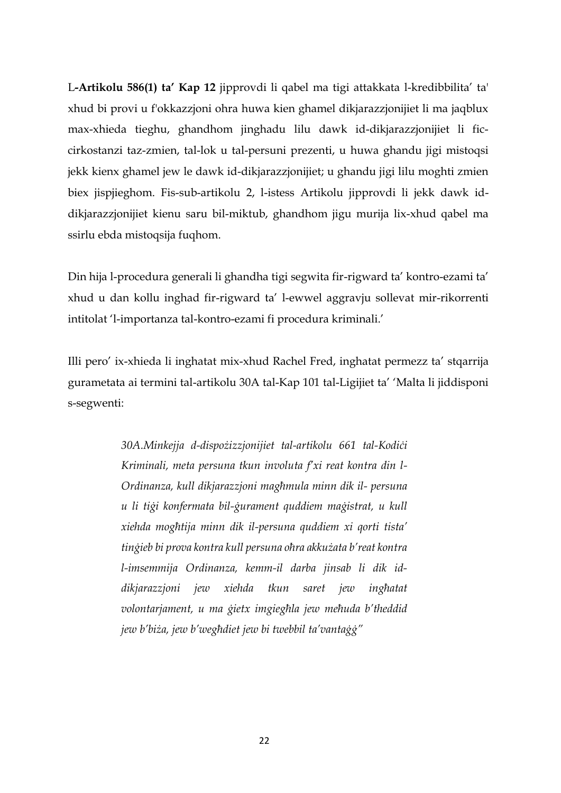L**-Artikolu 586(1) ta' Kap 12** jipprovdi li qabel ma tigi attakkata l-kredibbilita' ta' xhud bi provi u f'okkazzjoni ohra huwa kien ghamel dikjarazzjonijiet li ma jaqblux max-xhieda tieghu, ghandhom jinghadu lilu dawk id-dikjarazzjonijiet li ficcirkostanzi taz-zmien, tal-lok u tal-persuni prezenti, u huwa ghandu jigi mistoqsi jekk kienx ghamel jew le dawk id-dikjarazzjonijiet; u ghandu jigi lilu moghti zmien biex jispjieghom. Fis-sub-artikolu 2, l-istess Artikolu jipprovdi li jekk dawk iddikjarazzjonijiet kienu saru bil-miktub, ghandhom jigu murija lix-xhud qabel ma ssirlu ebda mistoqsija fuqhom.

Din hija l-procedura generali li ghandha tigi segwita fir-rigward ta' kontro-ezami ta' xhud u dan kollu inghad fir-rigward ta' l-ewwel aggravju sollevat mir-rikorrenti intitolat 'l-importanza tal-kontro-ezami fi procedura kriminali.'

Illi pero' ix-xhieda li inghatat mix-xhud Rachel Fred, inghatat permezz ta' stqarrija gurametata ai termini tal-artikolu 30A tal-Kap 101 tal-Ligijiet ta' 'Malta li jiddisponi s-segwenti:

> *30A.Minkejja d-dispożizzjonijiet tal-artikolu 661 tal-Kodiċi Kriminali, meta persuna tkun involuta f'xi reat kontra din l-Ordinanza, kull dikjarazzjoni magħmula minn dik il- persuna u li tiġi konfermata bil-ġurament quddiem maġistrat, u kull xiehda mogħtija minn dik il-persuna quddiem xi qorti tista' tinġieb bi prova kontra kull persuna oħra akkużata b'reat kontra l-imsemmija Ordinanza, kemm-il darba jinsab li dik iddikjarazzjoni jew xiehda tkun saret jew ingħatat volontarjament, u ma ġietx imgiegħla jew meħuda b'theddid jew b'biża, jew b'wegħdiet jew bi twebbil ta'vantaġġ"*

> > 22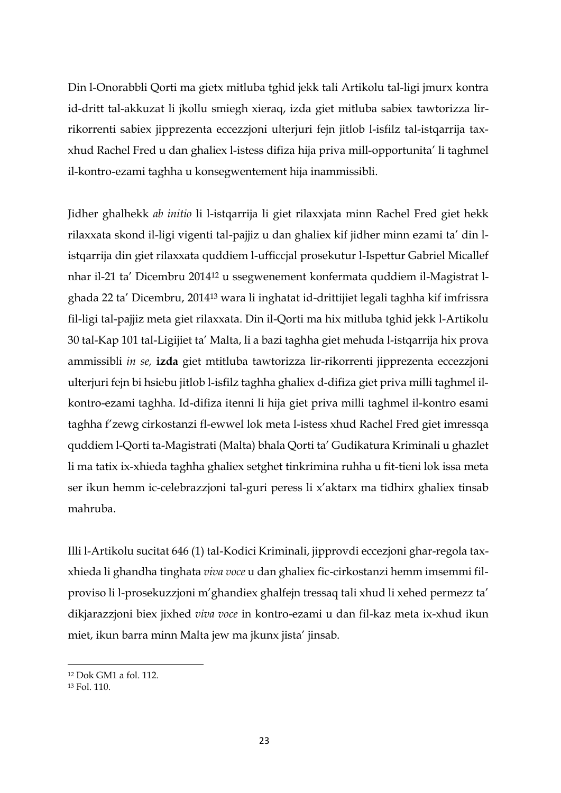Din l-Onorabbli Qorti ma gietx mitluba tghid jekk tali Artikolu tal-ligi jmurx kontra id-dritt tal-akkuzat li jkollu smiegh xieraq, izda giet mitluba sabiex tawtorizza lirrikorrenti sabiex jipprezenta eccezzjoni ulterjuri fejn jitlob l-isfilz tal-istqarrija taxxhud Rachel Fred u dan ghaliex l-istess difiza hija priva mill-opportunita' li taghmel il-kontro-ezami taghha u konsegwentement hija inammissibli.

Jidher ghalhekk *ab initio* li l-istqarrija li giet rilaxxjata minn Rachel Fred giet hekk rilaxxata skond il-ligi vigenti tal-pajjiz u dan ghaliex kif jidher minn ezami ta' din listqarrija din giet rilaxxata quddiem l-ufficcjal prosekutur l-Ispettur Gabriel Micallef nhar il-21 ta' Dicembru 2014<sup>12</sup> u ssegwenement konfermata quddiem il-Magistrat lghada 22 ta' Dicembru, 2014<sup>13</sup> wara li inghatat id-drittijiet legali taghha kif imfrissra fil-ligi tal-pajjiz meta giet rilaxxata. Din il-Qorti ma hix mitluba tghid jekk l-Artikolu 30 tal-Kap 101 tal-Ligijiet ta' Malta, li a bazi taghha giet mehuda l-istqarrija hix prova ammissibli *in se,* **izda** giet mtitluba tawtorizza lir-rikorrenti jipprezenta eccezzjoni ulterjuri fejn bi hsiebu jitlob l-isfilz taghha ghaliex d-difiza giet priva milli taghmel ilkontro-ezami taghha. Id-difiza itenni li hija giet priva milli taghmel il-kontro esami taghha f'zewg cirkostanzi fl-ewwel lok meta l-istess xhud Rachel Fred giet imressqa quddiem l-Qorti ta-Magistrati (Malta) bhala Qorti ta' Gudikatura Kriminali u ghazlet li ma tatix ix-xhieda taghha ghaliex setghet tinkrimina ruhha u fit-tieni lok issa meta ser ikun hemm ic-celebrazzjoni tal-guri peress li x'aktarx ma tidhirx ghaliex tinsab mahruba.

Illi l-Artikolu sucitat 646 (1) tal-Kodici Kriminali, jipprovdi eccezjoni ghar-regola taxxhieda li ghandha tinghata *viva voce* u dan ghaliex fic-cirkostanzi hemm imsemmi filproviso li l-prosekuzzjoni m'ghandiex ghalfejn tressaq tali xhud li xehed permezz ta' dikjarazzjoni biex jixhed *viva voce* in kontro-ezami u dan fil-kaz meta ix-xhud ikun miet, ikun barra minn Malta jew ma jkunx jista' jinsab.

 $\overline{a}$ 

<sup>12</sup> Dok GM1 a fol. 112.

<sup>13</sup> Fol. 110.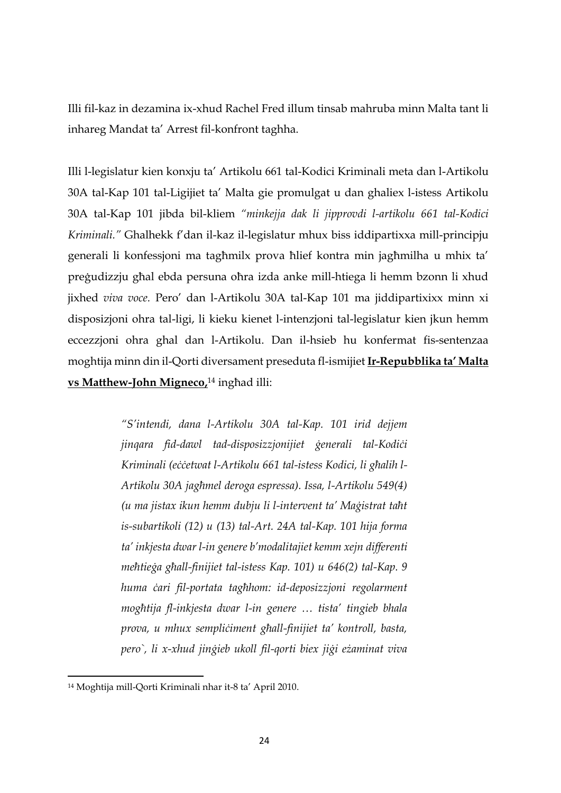Illi fil-kaz in dezamina ix-xhud Rachel Fred illum tinsab mahruba minn Malta tant li inhareg Mandat ta' Arrest fil-konfront taghha.

Illi l-legislatur kien konxju ta' Artikolu 661 tal-Kodici Kriminali meta dan l-Artikolu 30A tal-Kap 101 tal-Ligijiet ta' Malta gie promulgat u dan ghaliex l-istess Artikolu 30A tal-Kap 101 jibda bil-kliem *"minkejja dak li jipprovdi l-artikolu 661 tal-Kodici Kriminali."* Ghalhekk f'dan il-kaz il-legislatur mhux biss iddipartixxa mill-principju generali li konfessjoni ma tagħmilx prova ħlief kontra min jagħmilha u mhix ta' preġudizzju għal ebda persuna oħra izda anke mill-htiega li hemm bzonn li xhud jixhed *viva voce.* Pero' dan l-Artikolu 30A tal-Kap 101 ma jiddipartixixx minn xi disposizjoni ohra tal-ligi, li kieku kienet l-intenzjoni tal-legislatur kien jkun hemm eccezzjoni ohra ghal dan l-Artikolu. Dan il-hsieb hu konfermat fis-sentenzaa moghtija minn din il-Qorti diversament preseduta fl-ismijiet **Ir-Repubblika ta' Malta vs Matthew-John Migneco,** <sup>14</sup> ingħad illi:

> *"S'intendi, dana l-Artikolu 30A tal-Kap. 101 irid dejjem jinqara fid-dawl tad-disposizzjonijiet ġenerali tal-Kodiċi Kriminali (eċċetwat l-Artikolu 661 tal-istess Kodici, li għalih l-Artikolu 30A jagħmel deroga espressa). Issa, l-Artikolu 549(4) (u ma jistax ikun hemm dubju li l-intervent ta' Maġistrat taħt is-subartikoli (12) u (13) tal-Art. 24A tal-Kap. 101 hija forma ta' inkjesta dwar l-in genere b'modalitajiet kemm xejn differenti meħtieġa għall-finijiet tal-istess Kap. 101) u 646(2) tal-Kap. 9 huma ċari fil-portata tagħhom: id-deposizzjoni regolarment mogħtija fl-inkjesta dwar l-in genere … tista' tingieb bhala prova, u mhux sempliċiment għall-finijiet ta' kontroll, basta, pero`, li x-xhud jinġieb ukoll fil-qorti biex jiġi eżaminat viva*

<sup>14</sup> Moghtija mill-Qorti Kriminali nhar it-8 ta' April 2010.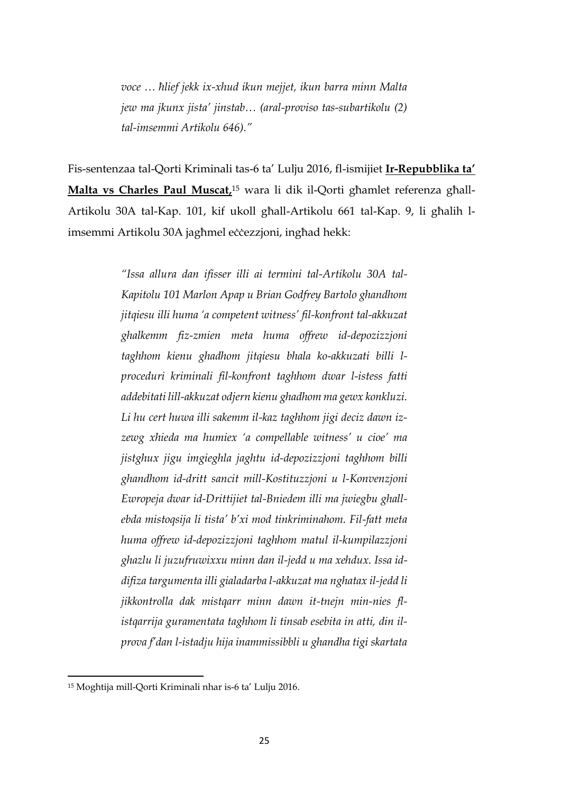*voce … ħlief jekk ix-xhud ikun mejjet, ikun barra minn Malta jew ma jkunx jista' jinstab… (aral-proviso tas-subartikolu (2) tal-imsemmi Artikolu 646)."*

Fis-sentenzaa tal-Qorti Kriminali tas-6 ta' Lulju 2016, fl-ismijiet **Ir-Repubblika ta' Malta vs Charles Paul Muscat,** <sup>15</sup> wara li dik il-Qorti għamlet referenza għall-Artikolu 30A tal-Kap. 101, kif ukoll għall-Artikolu 661 tal-Kap. 9, li għalih limsemmi Artikolu 30A jagħmel eċċezzjoni, ingħad hekk:

> *"Issa allura dan ifisser illi ai termini tal-Artikolu 30A tal-Kapitolu 101 Marlon Apap u Brian Godfrey Bartolo ghandhom jitqiesu illi huma 'a competent witness' fil-konfront tal-akkuzat ghalkemm fiz-zmien meta huma offrew id-depozizzjoni taghhom kienu ghadhom jitqiesu bhala ko-akkuzati billi lproceduri kriminali fil-konfront taghhom dwar l-istess fatti addebitati lill-akkuzat odjern kienu ghadhom ma gewx konkluzi. Li hu cert huwa illi sakemm il-kaz taghhom jigi deciz dawn izzewg xhieda ma humiex 'a compellable witness' u cioe' ma jistghux jigu imgieghla jaghtu id-depozizzjoni taghhom billi ghandhom id-dritt sancit mill-Kostituzzjoni u l-Konvenzjoni Ewropeja dwar id-Drittijiet tal-Bniedem illi ma jwiegbu ghallebda mistoqsija li tista' b'xi mod tinkriminahom. Fil-fatt meta huma offrew id-depozizzjoni taghhom matul il-kumpilazzjoni ghazlu li juzufruwixxu minn dan il-jedd u ma xehdux. Issa iddifiza targumenta illi gialadarba l-akkuzat ma nghatax il-jedd li jikkontrolla dak mistqarr minn dawn it-tnejn min-nies flistqarrija guramentata taghhom li tinsab esebita in atti, din ilprova f'dan l-istadju hija inammissibbli u ghandha tigi skartata*

<sup>15</sup> Moghtija mill-Qorti Kriminali nhar is-6 ta' Lulju 2016.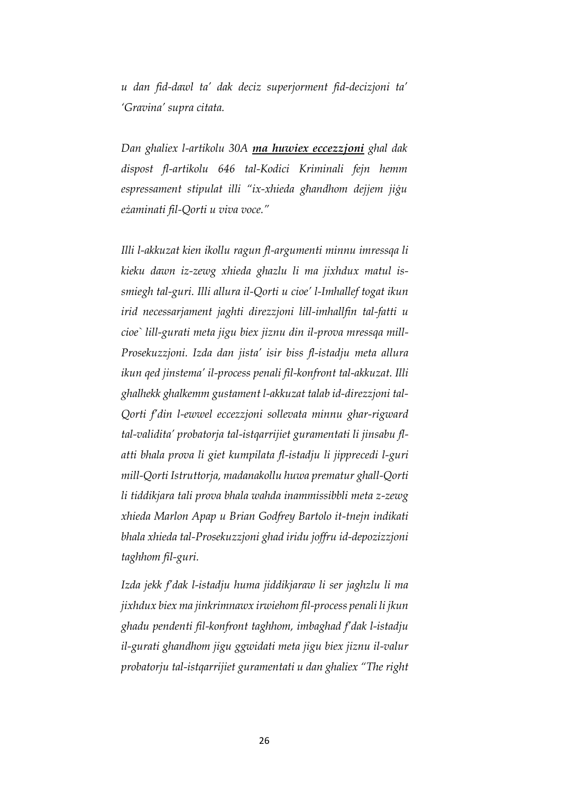*u dan fid-dawl ta' dak deciz superjorment fid-decizjoni ta' 'Gravina' supra citata.* 

*Dan ghaliex l-artikolu 30A ma huwiex eccezzjoni ghal dak dispost fl-artikolu 646 tal-Kodici Kriminali fejn hemm espressament stipulat illi "ix-xhieda għandhom dejjem jiġu eżaminati fil-Qorti u viva voce."*

*Illi l-akkuzat kien ikollu ragun fl-argumenti minnu imressqa li kieku dawn iz-zewg xhieda ghazlu li ma jixhdux matul issmiegh tal-guri. Illi allura il-Qorti u cioe' l-Imhallef togat ikun irid necessarjament jaghti direzzjoni lill-imhallfin tal-fatti u cioe` lill-gurati meta jigu biex jiznu din il-prova mressqa mill-Prosekuzzjoni. Izda dan jista' isir biss fl-istadju meta allura ikun qed jinstema' il-process penali fil-konfront tal-akkuzat. Illi ghalhekk ghalkemm gustament l-akkuzat talab id-direzzjoni tal-Qorti f'din l-ewwel eccezzjoni sollevata minnu ghar-rigward tal-validita' probatorja tal-istqarrijiet guramentati li jinsabu flatti bhala prova li giet kumpilata fl-istadju li jipprecedi l-guri mill-Qorti Istruttorja, madanakollu huwa prematur ghall-Qorti li tiddikjara tali prova bhala wahda inammissibbli meta z-zewg xhieda Marlon Apap u Brian Godfrey Bartolo it-tnejn indikati bhala xhieda tal-Prosekuzzjoni ghad iridu joffru id-depozizzjoni taghhom fil-guri.* 

*Izda jekk f'dak l-istadju huma jiddikjaraw li ser jaghzlu li ma jixhdux biex ma jinkrimnawx irwiehom fil-process penali li jkun ghadu pendenti fil-konfront taghhom, imbaghad f'dak l-istadju il-gurati ghandhom jigu ggwidati meta jigu biex jiznu il-valur probatorju tal-istqarrijiet guramentati u dan ghaliex "The right*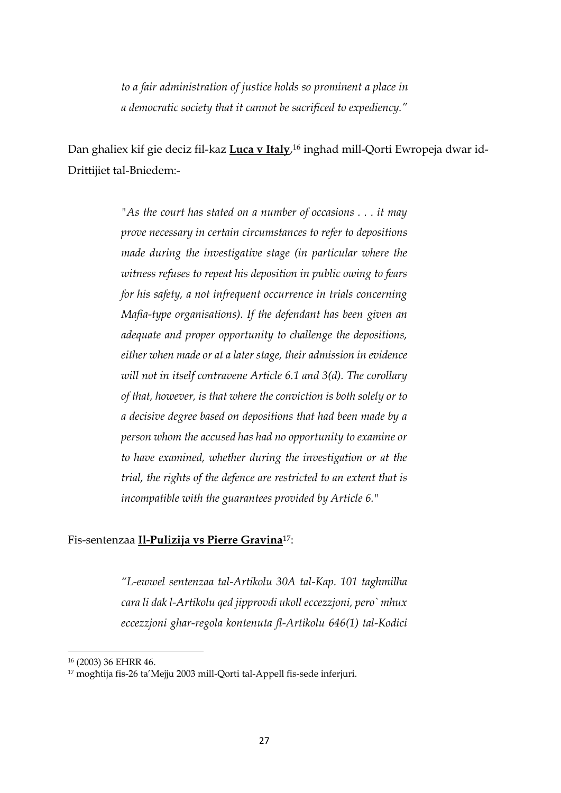*to a fair administration of justice holds so prominent a place in a democratic society that it cannot be sacrificed to expediency."* 

Dan ghaliex kif gie deciz fil-kaz **Luca v Italy**, <sup>16</sup> inghad mill-Qorti Ewropeja dwar id-Drittijiet tal-Bniedem:-

> *"As the court has stated on a number of occasions . . . it may prove necessary in certain circumstances to refer to depositions made during the investigative stage (in particular where the witness refuses to repeat his deposition in public owing to fears for his safety, a not infrequent occurrence in trials concerning Mafia-type organisations). If the defendant has been given an adequate and proper opportunity to challenge the depositions, either when made or at a later stage, their admission in evidence will not in itself contravene Article 6.1 and 3(d). The corollary of that, however, is that where the conviction is both solely or to a decisive degree based on depositions that had been made by a person whom the accused has had no opportunity to examine or to have examined, whether during the investigation or at the trial, the rights of the defence are restricted to an extent that is incompatible with the guarantees provided by Article 6."*

### Fis-sentenzaa **Il-Pulizija vs Pierre Gravina**17:

*"L-ewwel sentenzaa tal-Artikolu 30A tal-Kap. 101 taghmilha cara li dak l-Artikolu qed jipprovdi ukoll eccezzjoni, pero` mhux eccezzjoni ghar-regola kontenuta fl-Artikolu 646(1) tal-Kodici* 

<sup>16</sup> (2003) 36 EHRR 46.

<sup>17</sup> mogħtija fis-26 ta'Mejju 2003 mill-Qorti tal-Appell fis-sede inferjuri.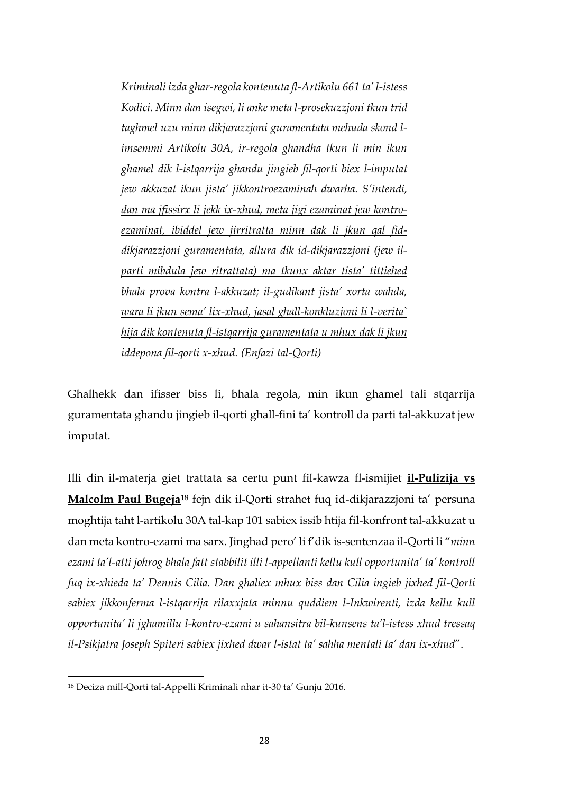*Kriminali izda ghar-regola kontenuta fl-Artikolu 661 ta' l-istess Kodici. Minn dan isegwi, li anke meta l-prosekuzzjoni tkun trid taghmel uzu minn dikjarazzjoni guramentata mehuda skond limsemmi Artikolu 30A, ir-regola ghandha tkun li min ikun ghamel dik l-istqarrija ghandu jingieb fil-qorti biex l-imputat jew akkuzat ikun jista' jikkontroezaminah dwarha. S'intendi, dan ma jfissirx li jekk ix-xhud, meta jigi ezaminat jew kontroezaminat, ibiddel jew jirritratta minn dak li jkun qal fiddikjarazzjoni guramentata, allura dik id-dikjarazzjoni (jew ilparti mibdula jew ritrattata) ma tkunx aktar tista' tittiehed bhala prova kontra l-akkuzat; il-gudikant jista' xorta wahda, wara li jkun sema' lix-xhud, jasal ghall-konkluzjoni li l-verita` hija dik kontenuta fl-istqarrija guramentata u mhux dak li jkun iddepona fil-qorti x-xhud. (Enfazi tal-Qorti)*

Ghalhekk dan ifisser biss li, bhala regola, min ikun ghamel tali stqarrija guramentata ghandu jingieb il-qorti ghall-fini ta' kontroll da parti tal-akkuzat jew imputat.

Illi din il-materja giet trattata sa certu punt fil-kawza fl-ismijiet **il-Pulizija vs Malcolm Paul Bugeja**<sup>18</sup> fejn dik il-Qorti strahet fuq id-dikjarazzjoni ta' persuna moghtija taht l-artikolu 30A tal-kap 101 sabiex issib htija fil-konfront tal-akkuzat u dan meta kontro-ezami ma sarx. Jinghad pero' li f'dik is-sentenzaa il-Qorti li "*minn ezami ta'l-atti johrog bhala fatt stabbilit illi l-appellanti kellu kull opportunita' ta' kontroll fuq ix-xhieda ta' Dennis Cilia. Dan ghaliex mhux biss dan Cilia ingieb jixhed fil-Qorti sabiex jikkonferma l-istqarrija rilaxxjata minnu quddiem l-Inkwirenti, izda kellu kull opportunita' li jghamillu l-kontro-ezami u sahansitra bil-kunsens ta'l-istess xhud tressaq il-Psikjatra Joseph Spiteri sabiex jixhed dwar l-istat ta' sahha mentali ta' dan ix-xhud*".

<sup>18</sup> Deciza mill-Qorti tal-Appelli Kriminali nhar it-30 ta' Gunju 2016.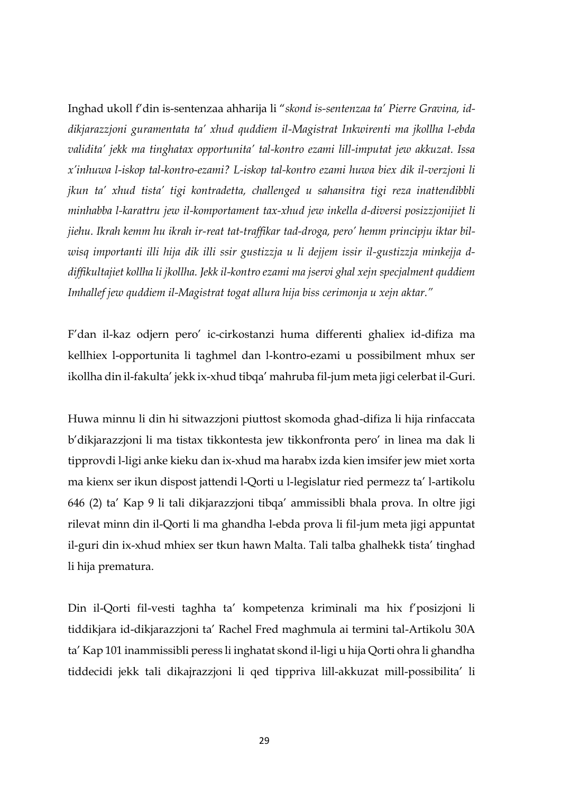Inghad ukoll f'din is-sentenzaa ahharija li "*skond is-sentenzaa ta' Pierre Gravina, iddikjarazzjoni guramentata ta' xhud quddiem il-Magistrat Inkwirenti ma jkollha l-ebda validita' jekk ma tinghatax opportunita' tal-kontro ezami lill-imputat jew akkuzat. Issa x'inhuwa l-iskop tal-kontro-ezami? L-iskop tal-kontro ezami huwa biex dik il-verzjoni li jkun ta' xhud tista' tigi kontradetta, challenged u sahansitra tigi reza inattendibbli minhabba l-karattru jew il-komportament tax-xhud jew inkella d-diversi posizzjonijiet li jiehu. Ikrah kemm hu ikrah ir-reat tat-traffikar tad-droga, pero' hemm principju iktar bilwisq importanti illi hija dik illi ssir gustizzja u li dejjem issir il-gustizzja minkejja ddiffikultajiet kollha li jkollha. Jekk il-kontro ezami ma jservi ghal xejn specjalment quddiem Imhallef jew quddiem il-Magistrat togat allura hija biss cerimonja u xejn aktar."*

F'dan il-kaz odjern pero' ic-cirkostanzi huma differenti ghaliex id-difiza ma kellhiex l-opportunita li taghmel dan l-kontro-ezami u possibilment mhux ser ikollha din il-fakulta' jekk ix-xhud tibqa' mahruba fil-jum meta jigi celerbat il-Guri.

Huwa minnu li din hi sitwazzjoni piuttost skomoda ghad-difiza li hija rinfaccata b'dikjarazzjoni li ma tistax tikkontesta jew tikkonfronta pero' in linea ma dak li tipprovdi l-ligi anke kieku dan ix-xhud ma harabx izda kien imsifer jew miet xorta ma kienx ser ikun dispost jattendi l-Qorti u l-legislatur ried permezz ta' l-artikolu 646 (2) ta' Kap 9 li tali dikjarazzjoni tibqa' ammissibli bhala prova. In oltre jigi rilevat minn din il-Qorti li ma ghandha l-ebda prova li fil-jum meta jigi appuntat il-guri din ix-xhud mhiex ser tkun hawn Malta. Tali talba ghalhekk tista' tinghad li hija prematura.

Din il-Qorti fil-vesti taghha ta' kompetenza kriminali ma hix f'posizjoni li tiddikjara id-dikjarazzjoni ta' Rachel Fred maghmula ai termini tal-Artikolu 30A ta' Kap 101 inammissibli peress li inghatat skond il-ligi u hija Qorti ohra li ghandha tiddecidi jekk tali dikajrazzjoni li qed tippriva lill-akkuzat mill-possibilita' li